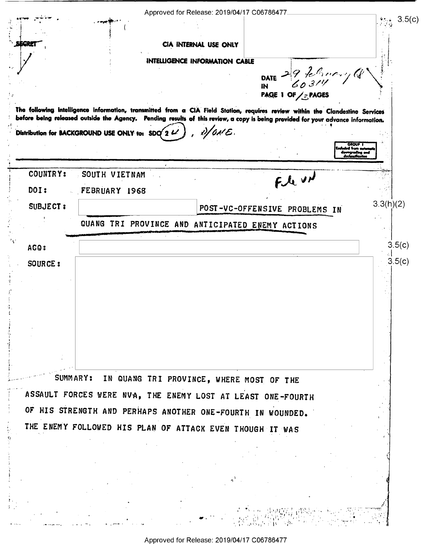|                 | Approved for Release: 2019/04/17 C06786477                                                                                       | $\frac{1}{2}$ (c) $3.5(c)$        |
|-----------------|----------------------------------------------------------------------------------------------------------------------------------|-----------------------------------|
|                 |                                                                                                                                  |                                   |
|                 | CIA INTERNAL USE ONLY                                                                                                            |                                   |
|                 | INTELLIGENCE INFORMATION CABLE                                                                                                   |                                   |
|                 | DATE 29 7 8 10 11                                                                                                                |                                   |
|                 | IN<br>PAGE 1 OF SPAGES                                                                                                           |                                   |
|                 | The following intelligence information, transmitted from a CIA Field Station, requires review within the Clandestine Services    |                                   |
|                 | before being released outside the Agency. Pending results of this review, a copy is being provided for your advance information. |                                   |
|                 | $2/6$ NE.<br>Distribution for BACKGROUND USE ONLY to: SDO 2 L                                                                    | <b>GROUP</b>                      |
|                 |                                                                                                                                  | ہ deumgrading<br>declessification |
| <b>COUNTRY:</b> | SOUTH VIETNAM                                                                                                                    |                                   |
| DOI:            | Fle und<br>FEBRUARY 1968                                                                                                         |                                   |
| <b>SUBJECT:</b> | POST-VC-OFFENSIVE PROBLEMS IN                                                                                                    | 3.3(h)(2)                         |
|                 | QUANG TRI PROVINCE AND ANTICIPATED ENEMY ACTIONS                                                                                 |                                   |
|                 |                                                                                                                                  |                                   |
| AGQ:            |                                                                                                                                  | 3.5(c)                            |
| SOURCE:         |                                                                                                                                  | 3.5(c)                            |
|                 |                                                                                                                                  |                                   |
|                 |                                                                                                                                  |                                   |
|                 |                                                                                                                                  |                                   |
|                 |                                                                                                                                  |                                   |
|                 |                                                                                                                                  |                                   |
|                 |                                                                                                                                  |                                   |
| SUMMARY:        | IN QUANG TRI PROVINCE, WHERE MOST OF THE                                                                                         |                                   |
|                 | ASSAULT FORCES WERE NVA, THE ENEMY LOST AT LEAST ONE-FOURTH                                                                      |                                   |
|                 | OF HIS STRENGTH AND PERHAPS ANOTHER ONE-FOURTH IN WOUNDED.                                                                       |                                   |
|                 | THE ENEMY FOLLOWED HIS PLAN OF ATTACK EVEN THOUGH IT WAS                                                                         |                                   |
|                 |                                                                                                                                  |                                   |
|                 |                                                                                                                                  |                                   |
|                 |                                                                                                                                  |                                   |
|                 |                                                                                                                                  |                                   |
|                 |                                                                                                                                  |                                   |
|                 |                                                                                                                                  |                                   |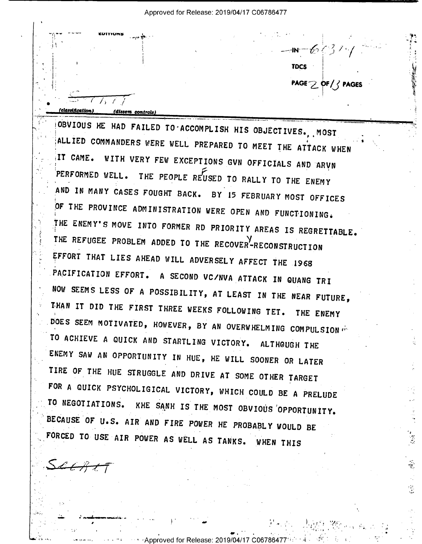$-107634$ **TDCS** PAGE 2 OF/3 PAGES (dissem controls)

OBVIOUS HE HAD FAILED TO ACCOMPLISH HIS OBJECTIVES. MOST ALLIED COMMANDERS WERE WELL PREPARED TO MEET THE ATTACK WHEN IT CAME. WITH VERY FEW EXCEPTIONS GVN OFFICIALS AND ARVN PERFORMED WELL. THE PEOPLE REUSED TO RALLY TO THE ENEMY AND IN MANY CASES FOUGHT BACK. BY 15 FEBRUARY MOST OFFICES OF THE PROVINCE ADMINISTRATION WERE OPEN AND FUNCTIONING. THE ENEMY'S MOVE INTO FORMER RD PRIORITY AREAS IS REGRETTABLE. THE REFUGEE PROBLEM ADDED TO THE RECOVER<sup>Y</sup>-RECONSTRUCTION EFFORT THAT LIES AHEAD WILL ADVERSELY AFFECT THE 1968 PACIFICATION EFFORT. A SECOND VC/NVA ATTACK IN QUANG TRI NOW SEEMS LESS OF A POSSIBILITY, AT LEAST IN THE NEAR FUTURE, THAN IT DID THE FIRST THREE WEEKS FOLLOWING TET. THE ENEMY DOES SEEM MOTIVATED, HOWEVER, BY AN OVERWHELMING COMPULSION TO ACHIEVE A QUICK AND STARTLING VICTORY. ALTHOUGH THE ENEMY SAW AN OPPORTUNITY IN HUE, HE WILL SOONER OR LATER TIRE OF THE HUE STRUGGLE AND DRIVE AT SOME OTHER TARGET FOR A QUICK PSYCHOLIGICAL VICTORY, WHICH COULD BE A PRELUDE TO NEGOTIATIONS. KHE SANH IS THE MOST OBVIOUS OPPORTUNITY. BECAUSE OF U.S. AIR AND FIRE POWER HE PROBABLY WOULD BE FORCED TO USE AIR POWER AS WELL AS TANKS. WHEN THIS

Approved for Release: 2019/04/17 C06786

ų.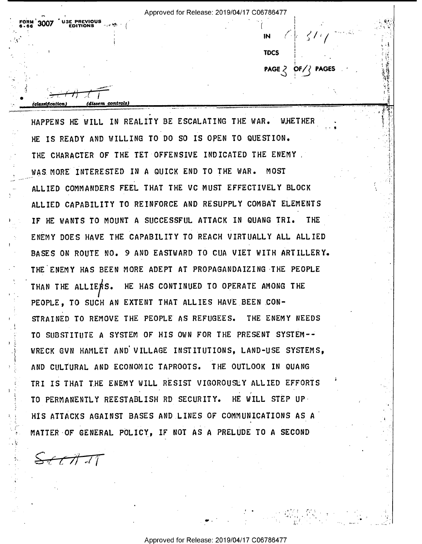$\mathbb{I} \cup \{ \mathcal{I} \mid \mathcal{I} \mid \mathcal{I} \}$  in  $\mathbb{I} \cup \{ \mathcal{I} \mid \mathcal{I} \}$ 

<sup>A</sup>A T'

t

PAGE  $2$  OF  $\ell$  PAGES

**.** 

 $\blacksquare$ 

..; .5;  $\sim$ 

 $\mathcal{F}_\mathcal{F}$  . q

"Y1!-if

' 'z  $\cdot$   $\cdot$ 

l

÷.

If  $\mathcal{O}(\mathcal{O})$  and  $\mathcal{O}(\mathcal{O})$  and  $\mathcal{O}(\mathcal{O})$ 

The state of the state of the state of the state of the state of the state of the state of the state of the state of the state of the state of the state of the state of the state of the state of the state of the state of t

 $\frac{1}{\sqrt{2}}$ 

 $\frac{1}{\text{classification}}$  (dissem controls)  $\alpha$  , and the set of the set of the set of the set of the set of the set of the set of the set of the set of the set of the set of the set of the set of the set of the set of the set of the set of the set of the set of t HAPPENS HE WILL IN REALITY BE ESCALATING THE WAR. WHETHER HE IS READY AND WILLING TO DO SO IS OPEN TO QUESTION. THE CHARACTER OF THE TET OFFENSIVE INDICATED THE ENEMY. WAS.MORE INTERESTED IN A QUICK END TO THE WAR. MOST ALLIED COMMANDERS FEEL THAT THE VC MUST EFFECTIVELY BLOCK ALLIED CAPABILITY TO REINFORCE AND RESUPPLY COMBAT ELEMENTS IF HE WANTS TO MOUNT A SUCCESSFUL ATTACK IN QUANG TRI. THE **ENEMY DOES HAVE THE CAPABILITY TO REACH VIRTUALLY ALL ALLIED** BASES ON ROUTE NO. 9 AND EASTWARD TO CUA VIET WITH ARTILLERY. THE ENEMY HAS BEEN MORE ADEPT AT PROPAGANDAIZING-THE PEOPLE THAN THE ALLIERS. HE HAS CONTINUED TO OPERATE AMONG THE STRAINED TO REMOVE THE PEOPLE AS REFUGEES. THE ENEMY NEEDS TO SUBSTITUTE A SYSTEM OF HIS OWN FOR THE PRESENT SYSTEM--WRECK GVN HAMLET AND VILLAGE INSTITUTIONS, LAND-USE SYSTEMS AND CULTURAL AND ECONOMIC TAPROOTS. THE OUTLOOK IN QUANG PEOPLE, TO SUCH AN EXTENT THAT ALLIES HAVE BEEN CON-TRI IS THAT THE ENEMY WILL RESIST VIGOROUSLY ALLIED EFFORTS . .  $\overline{a}$  . The substitution of the second and the second  $\overline{a}$  and  $\overline{a}$  and  $\overline{a}$ TO PERMANENTLY REESTABLISH RD SECURITY. HE WILL STEP UP HIS ATTACKS AGAINST BASES AND LINES OF COMMUNICATIONS AS A MATTER OF GENERAL POLICY, IF NOT AS A PRELUDE TO A SECOND

 $\frac{1}{\sqrt{2}}$ 

 $5.66$   $300$ 

'

. . . . . *.* 

r.' '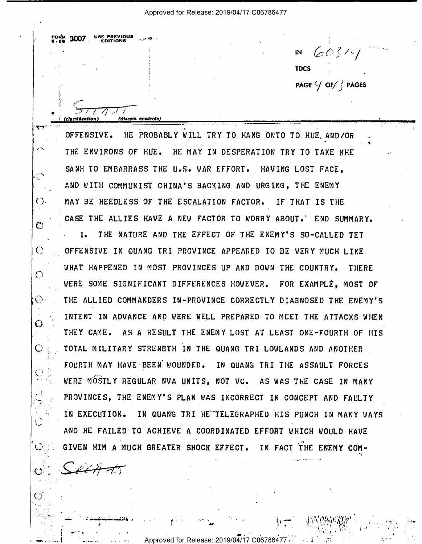. \_ \_ .-» gcmslflmtm) fdl-sum controls) <sup>I</sup>\_\_ > \_\_\_ \_

 $IN$  603/4  $\blacksquare$ PAGE  $\frac{C}{J}$  OF  $\frac{C}{J}$  PAGES

 $\cdot$ 

I

-

 $\sum_{i=1}^n$ 

3'I""'|H'-'H::0'\:'MW'.' » .-

v s

 $\cdots$ an. '

- -

 $\cdot$  .

- <sup>1</sup>

. A

 $-$ 

T'({'Y\_'!—'\_"" ' ' ' ' ' ' 7 """"""%\_\_"\_""\_\_\_,' <sup>I</sup>I u u OFFENSIVE. HE PROBABLY WILL TRY TO HANG ONTO TO HUE AND/OR. THE ENVIRONS OF HUE. HE MAY IN DESPERATION TRY TO TAKE KHE SANH TO EMBARRASS THE U.S. WAR EFFORT. HAVING LOST FACE, AND WITH COMMUNIST CHINA'S BACKING AND URGING, THE ENEMY MAY BE HEEDLESS OF THE ESCALATION FACTOR. IF THAT IS THE CASE THE ALLIES HAVE A NEW FACTOR TO WORRY ABOUT.' END SUMMARY. 1. THE NATURE AND THE EFFECT OF THE ENEMY'S SO-CALLED TET OFFENSIVE IN OUANG TRI PROVINCE APPEARED TO BE VERY MUCH LIKE "WHAT HAPPENED IN MOST PROVINCES UP AND DOWN THE COUNTRY. THERE WERE SOME SIGNIFICANT DIFFERENCES HOWEVER. FOR EXAMPLE, MOST OF THE ALLIED COMMANDERS IN-PROVINCE CORRECTLY DIAGNOSED THE ENEMY'S INTENT IN ADVANCE AND WERE WELL PREPARED TO MEET THE ATTACKS WHEN THEY CAME. AS A RESULT THE ENEMY LOST AT LEAST ONE—FOURTH OF HIS TOTAL MILITARY STRENGTH IN THE QUANG TRI LOWLANDS AND ANOTHER FOURTH MAY HAVE BEEN WOUNDED. IN QUANG TRI THE ASSAULT FORCES WERE MOSTLY REGULAR NVA UNITS, NOT VC. AS WAS THE CASE IN MANY PROVINCES, THE ENEMY'S PLAN WAS INCORRECT IN CONCEPT AND FAULTY IN EXECUTION. IN QUANG TRI HE TELEGRAPHED HIS PUNCH IN MANY WAYS AND HE FAILED TO ACHIEVE A COORDINATED EFFORT WHICH WOULD HAVE 1 \_ , - - ' ' GIVEN HIM A MUCH GREATER SHOCK EFFECT. IN FACT THE ENEMY COM-

 $\cdot$  . \_ . r...' 1-  $\sim$  $\epsilon'$  I  $\mathcal{L}_\text{eff}$ 

' .'..-L-.-" -.J.;2:.. \_ .

.  $\mathbb{R}$   $\mathbb{R}$   $\mathbb{R}$ 

 $\sim$   $\sim$   $\sim$ 

..'-.

 $\sum_{i=1}^n$ 

 $\bar{a}$ ,  $\bar{a}$  $\lambda$ 

 $I^{\text{OR}}$  $\phantom{I^{\text{OR}}}_{\text{OR}}$  3007. USE PREVIOUS

577 N A V

"I

 $\mathbb{P}^1$  .  $\mathbb{P}^1$ 

. v

 $\left(\begin{array}{c} \cdot \end{array}\right)$ .

 $\circ$ 

 $\bigcirc$ 

 $\bigcap$ 

 $\mathcal{O}$ 

 $\mathcal{O}$ .

 $\circ$ 

 $\heartsuit$ 

 $\mathbb{C}^+$ 

 $\mathbb{C}^{\mathbb{Z}}$ 

.{;

 $\mathbb{C}^{\mathbb{Z}}$ 

. . . . .,. \_, . . 4..-. L .--..\_| . = Approved for Release: 2019/02717 C06786477.».' <sup>A</sup> - - <sup>1</sup> - ,. I .' - '

. | \_|.. \_ .

 $\prime$ 

 $\mathcal{N} = \mathcal{N}$  , which is the set of  $\mathcal{N} = \mathcal{N}$  , where  $\mathcal{N} = \mathcal{N}$ 

'

 $\mathbb{H}^1$  . The second contribution of  $\mathbb{H}^1$  and  $\mathbb{H}^1$  are all  $\mathbb{H}^1$  and  $\mathbb{H}^1$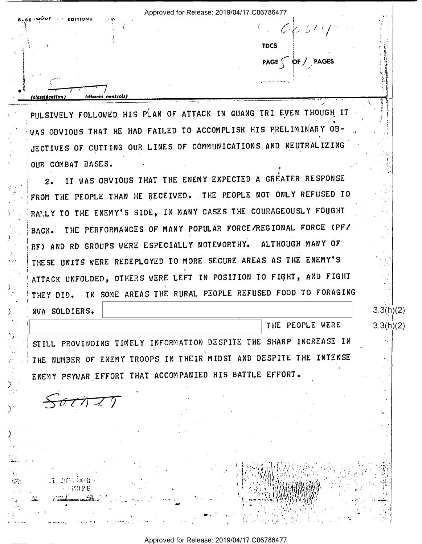Approved for Release: 2019/04/17 C06786477  $1 - 66.514$ **TDCS**  $PAGE \n\searrow \n\text{PF} / \n\text{PAGES}$ *(classification* em controls

PULSIVELY FOLLOWED HIS PLAN OF ATTACK IN QUANG TRI EVEN THOUGH IT WAS OBVIOUS THAT HE HAD FAILED TO ACCOMPLISH HIS PRELIMINARY OB-JECTIVES OF CUTTING OUR LINES OF COMMUNICATIONS AND NEUTRALIZING OUR COMBAT BASES.

IT WAS OBVIOUS THAT THE ENEMY EXPECTED A GREATER RESPONSE  $2.1$ FROM THE PEOPLE THAN HE RECEIVED. THE PEOPLE NOT ONLY REFUSED TO RANLY TO THE ENEMY'S SIDE, IN MANY CASES THE COURAGEOUSLY FOUGHT THE PERFORMANCES OF MANY POPULAR FORCE/REGIONAL FORCE (PF/ BACK. ALTHOUGH MANY OF RF) AND RD GROUPS WERE ESPECIALLY NOTEWORTHY. THESE UNITS WERE REDEPLOYED TO MORE SECURE AREAS AS THE ENEMY'S ATTACK UNFOLDED, OTHERS WERE LEFT IN POSITION TO FIGHT, AND FIGHT IN SOME AREAS THE RURAL PEOPLE REFUSED FOOD TO FORAGING THEY DID.

NVA SOLDIERS.

THE PEOPLE WERE

 $3.3(h)(2)$ 

 $3.3(h)(2)$ 

STILL PROVINDING TIMELY INFORMATION DESPITE THE SHARP INCREASE IN THE NUMBER OF ENEMY TROOPS IN THEIR MIDST AND DESPITE THE INTENSE ENEMY PSYWAR EFFORT THAT ACCOMPANIED HIS BATTLE EFFORT.

 $\frac{\partial}{\partial t}$ 

21 25 240 11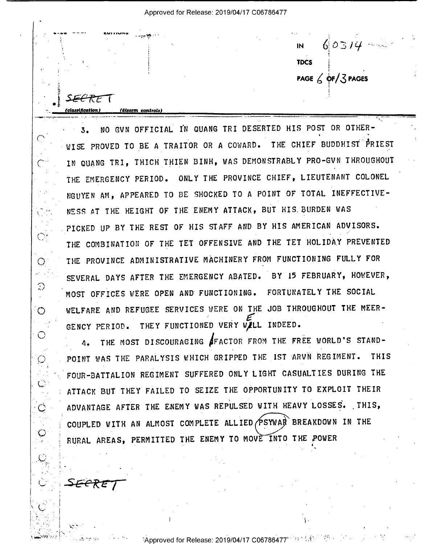SF<del>C'T</del>

 $\bigcap$ 

 $\overline{C}$ 

 $\bigcirc$ 

Ο

 $\mathcal{L}^{\text{max}}$ Э

 $\circ$ 

 $\bigcirc$ 

 $\circledcirc$ 

 $\circ$ 

Ő

<del>SECRE</del>

(dissem controls

 $60314 \overline{M}$ **TDCS** PAGE  $\angle$  OF/3 PAGES

NO GVN OFFICIAL IN QUANG TRI DESERTED HIS POST OR OTHER- $3.$ WISE PROVED TO BE A TRAITOR OR A COWARD. THE CHIEF BUDDHIST PRIEST IN QUANG TRI, THICH THIEN BINH, WAS DEMONSTRABLY PRO-GVN THROUGHOUT THE EMERGENCY PERIOD. ONLY THE PROVINCE CHIEF, LIEUTENANT COLONEL NGUYEN AM, APPEARED TO BE SHOCKED TO A POINT OF TOTAL INEFFECTIVE-NESS AT THE HEIGHT OF THE ENEMY ATTACK, BUT HIS BURDEN WAS PICKED UP BY THE REST OF HIS STAFF AND BY HIS AMERICAN ADVISORS. THE COMBINATION OF THE TET OFFENSIVE AND THE TET HOLIDAY PREVENTED THE PROVINCE ADMINISTRATIVE MACHINERY FROM FUNCTIONING FULLY FOR SEVERAL DAYS AFTER THE EMERGENCY ABATED. BY 15 FEBRUARY, HOWEVER, MOST OFFICES WERE OPEN AND FUNCTIONING. FORTUNATELY THE SOCIAL WELFARE AND REFUGEE SERVICES WERE ON THE JOB THROUGHOUT THE MEER-GENCY PERIOD. THEY FUNCTIONED VERY WILL INDEED.

THE MOST DISCOURAGING SFACTOR FROM THE FREE WORLD'S STAND- $\Lambda$ . POINT WAS THE PARALYSIS WHICH GRIPPED THE IST ARVN REGIMENT. **THIS** FOUR-BATTALION REGIMENT SUFFERED ONLY LIGHT CASUALTIES DURING THE ATTACK BUT THEY FAILED TO SEIZE THE OPPORTUNITY TO EXPLOIT THEIR ADVANTAGE AFTER THE ENEMY WAS REPULSED WITH HEAVY LOSSES. THIS, COUPLED WITH AN ALMOST COMPLETE ALLIED PSYWAR BREAKDOWN IN THE RURAL AREAS, PERMITTED THE ENEMY TO MOVE INTO THE POWER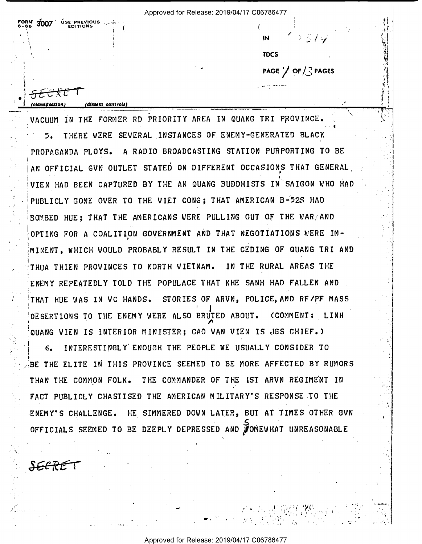<del>SLC K</del>E

(dissem controls)

 $3007$   $%$  USE PREVIOUS

 $\overline{M}$ どうする **TDCS** PAGE  $\bigvee$  OF  $\bigwedge$  PAGES

VACHIM IN THE FORMER RD PRIORITY AREA IN QUANG TRI PROVINCE. THERE WERE SEVERAL INSTANCES OF ENEMY-GENERATED BLACK 5. PROPAGANDA PLOYS. A RADIO BROADCASTING STATION PURPORTING TO BE AN OFFICIAL GVN OUTLET STATED ON DIFFERENT OCCASIONS THAT GENERAL VIEN HAD BEEN CAPTURED BY THE AN QUANG BUDDHISTS IN SAIGON WHO HAD PUBLICLY GONE OVER TO THE VIET CONG; THAT AMERICAN B-52S HAD BOMBED HUE; THAT THE AMERICANS WERE PULLING OUT OF THE WAR/AND OPTING FOR A COALITION GOVERNMENT AND THAT NEGOTIATIONS WERE IM-MINENT, WHICH WOULD PROBABLY RESULT IN THE CEDING OF QUANG TRI AND THUA THIEN PROVINCES TO NORTH VIETNAM. IN THE RURAL AREAS THE ENEMY REPEATEDLY TOLD THE POPULACE THAT KHE SANH HAD FALLEN AND THAT HUE WAS IN VC HANDS. STORIES OF ARVN, POLICE, AND RF/PF MASS DESERTIONS TO THE ENEMY WERE ALSO BRUTED ABOUT. (COMMENT: LINH QUANG VIEN IS INTERIOR MINISTER; CAO VAN VIEN IS JGS CHIEF.)

INTERESTINGLY ENOUGH THE PEOPLE WE USUALLY CONSIDER TO  $6.$ BE THE ELITE IN THIS PROVINCE SEEMED TO BE MORE AFFECTED BY RUMORS THAN THE COMMON FOLK. THE COMMANDER OF THE IST ARVN REGIMENT IN FACT PUBLICLY CHASTISED THE AMERICAN MILITARY'S RESPONSE TO THE ENEMY'S CHALLENGE. HE SIMMERED DOWN LATER, BUT AT TIMES OTHER GVN OFFICIALS SEEMED TO BE DEEPLY DEPRESSED AND VOMEWHAT UNREASONABLE

SECRET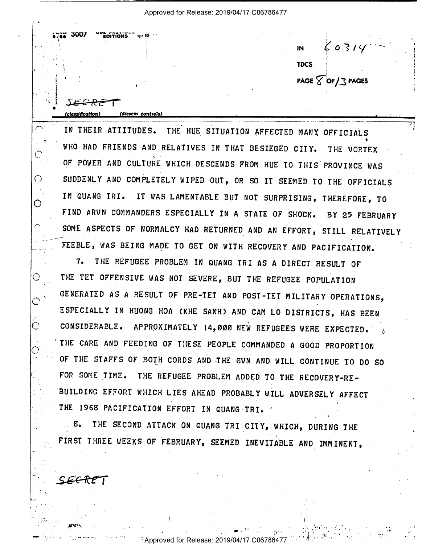$3007$   $\degree$  EDITIONS T  $IN$   $60314$  $\mathbb{R}^2$  and  $\mathbb{R}^2$  and  $\mathbb{R}^2$  and  $\mathbb{R}^2$  and  $\mathbb{R}^2$  and  $\mathbb{R}^2$  and  $\mathbb{R}^2$  and  $\mathbb{R}^2$  and  $\mathbb{R}^2$  and  $\mathbb{R}^2$  and  $\mathbb{R}^2$  and  $\mathbb{R}^2$  and  $\mathbb{R}^2$  and  $\mathbb{R}^2$  and  $\mathbb{R}^2$  . The same state  $\overline{9}$  10  $\overline{1}$  10  $\overline{1}$  10  $\overline{1}$  10  $\overline{1}$  10  $\overline{1}$  10  $\overline{1}$  10  $\overline{1}$  10  $\overline{1}$  10  $\overline{1}$  10  $\overline{1}$  10  $\overline{1}$  10  $\overline{1}$  10  $\overline{1}$  10  $\overline{1}$  10  $\overline{1}$  10  $\overline{1}$  10  $\mathbf{TDCS}$   $\mathbf{C}$ 1  $PAGE \ \overline{\text{2}} \ \text{DF} / \text{3} \ \text{PAGES}$ . 'J urn-»  $JEERE$ 

۰.

5

. . \_I\_\_ N \_\_\_\_\_V\_\_\_\_\_\_\_\_\_\_\_\_\_\_ \_\_\_\_\_\_\_\_\_\_\_\_\_ \_\_\_\_\_\_\_\_\_\_\_\_\_\_\_, - \_\_ \_\_. I \_  $\begin{array}{c}\n\bullet \\
\bullet \\
\hline\n\end{array}$ (classification) (dissem controls)<br>
IN THEIR ATTITUDES. THE HUE SITUATION AFFECTED MANY OFFICIALS WHO HAD FRIENDS AND RELATIVES IN THAT BESIEGED CITY. THE VORTEX OF POWER AND CULTURE WHICH DESCENDS FROM HUE TO THIS PROVINCE WAS SUDDENLY AND COMPLETELY WIPED OUT, OR SO IT SEEMED TO THE OFFICIALS IN OUANG TRI. IT WAS LAMENTABLE BUT NOT SURPRISING, THEREFORE, TO FIND ARVN COMMANDERS ESPECIALLY IN A STATE OF SHOCK. BY 25 FEBRUARY SOME ASPECTS OF NORMALCY HAD RETURNED AND AN EFFORT, STILL RELATIVELY FEEBLE, WAS BEING MADE TO GET ON WITH RECOVERY AND PACIFICATION.

7. THE REFUGEE PROBLEM IN OUANG TRI AS A DIRECT RESULT OF THE TET OFFENSIVE WAS NOT SEVERE, BUT THE REFUGEE POPULATION OGENERATED AS A RESULT OF PRE-TET AND POST-TET MILITARY OPERATIONS, ESPECIALLY IN HUONG HOA (KHE SANH) AND CAM LO DISTRICTS, HAS BEEN CONSIDERABLE. APPROXIMATELY 14,000 NEW REFUGEES WERE EXPECTED.  $\delta$ 'THE CARE AND FEEDING OF THESE PEOPLE COMMANDED A GOOD PROPORTION OF THE STAFFS OF BOTH CORDS AND THE GVN AND WILL CONTINUE TO DO SO FOR SOME TIME. THE REFUGEE PROBLEM ADDED TO THE RECOVERY-RE-BUILDING EFFORT WHICH LIES AHEAD PROBABLY WILL ADVERSELY AFFECT  $\ddot{\phantom{0}}$ THE 1968 PACIFICATION EFFORT IN QUANG TRI. ' '

8. THE SECOND ATTACK ON QUANG TRI CITY, WHICH, DURING THE FIRST THREE WEEKS OF FEBRUARY, SEEMED INEVITABLE AND IMMINENT,

SEERP

 $\curvearrowright$  .

-i-——'

.

 $\mathcal{L}_{\mathcal{L}}$ 

 $\bigcirc$ 

O

.'

 $\bigcirc$ 

I

cr-

 $\mathbb{C}$ 

r

 $\ddotsc$ I,

v

M

u

.

<u>classification)</u>

(dissem controls)

. The contract of the contract of the contract of the contract of the contract of the contract of the contract of the contract of the contract of the contract of the contract of the contract of the contract of the contrac

>

, where  $Y$  is a subsequent of  $Y$  is a subsequent of  $Y$  , and  $Y$  is a subsequent of  $Y$  is a subsequent of  $Y$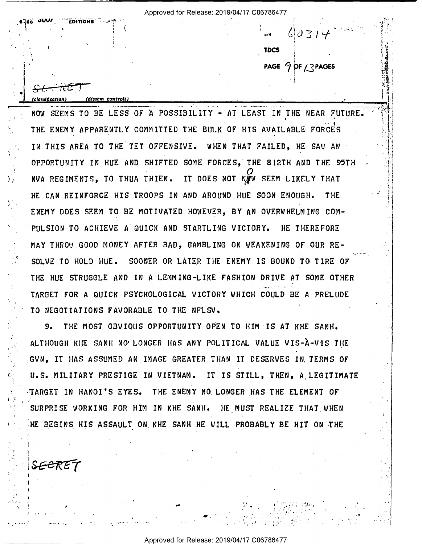In the contract of the contract of the contract of the contract of the contract of the contract of the contract of the contract of the contract of the contract of the contract of the contract of the contract of the contra

1 September 1987

**TDCS** PAGE  $9$  of  $13$  pages -~

 $\mathbf{L}$ I 4.-. =

11. .v, .  $\mathbf{v}$ .  $=$ 

, . v; ,h '1. T .u

F3}!

-.

. .

classification) fdlsscm controls] .

下亡

1 1 S I' .- <sup>3</sup>  $\blacksquare$  '

\

r \

) ('-

 $\mathbf{r}$ ,

\

**a<sup>l</sup>eg JUV/ EDITIONS** ~##<sup>#</sup>

NOW SEEMS TO BE LESS OF A POSSIBILITY – AT LEAST IN THE NEAR FUTURE.  $\begin{bmatrix} \bullet & \bullet & \bullet \\ \bullet & \bullet & \bullet & \bullet \end{bmatrix}$ THE ENEMY APPARENTLY COMMITTED THE BULK OF HIS AVAILABLE FORCES IN THIS AREA TO THE TET OFFENSIVE. WHEN THAT FAILED, HE SAW AN OPPORTUNITY IN HUE AND SHIFTED SOME FORCES, THE 8l2TH AND THE 95TH  $\frac{O}{N}$ .  $\frac{O}{N}$ NVA REGIMENTS, TO THUA THIEN. IT DOES NOT NUW SEEM LIKELY THAT HE CAN REINFORCE HIS TROOPS IN AND AROUND HUE SOON ENOUGH. THE ENEMY DOES SEEM TO BE MOTIVATED HOWEVER, BY AN OVERWHELMING COM-PULSION TO ACHIEVE A QUICK AND STARTLING VICTORY. HE THEREFORE MAY THROW GOOD MONEY AFTER BAD, GAMBLING ON WEAKENING OF OUR RE-  $\sim$   $\sim$   $\sim$   $\sim$   $\sim$   $\sim$   $\sim$   $\sim$ SOLVE TO HOLD HUE. SOONER OR LATER THE ENEMY IS BOUND TO TIRE OF THE HUE STRUGGLE AND IN A LEMMING-LIKE FASHION DRIVE AT SOME OTHER TARGET FOR A QUICK PSYCHOLOGICAL VICTORY WHICH COULD BE A PRELUDE TO NEGOTIATIONS FAVORABLE TO THE NFLSV. '

r 9. THE MOST OBVIOUS OPPORTUNITY OPEN TO HIM IS AT KHE SANH. ALTHOUGH KHE SANH NO'LONGER HAS ANY POLITICAL VALUE VIS-A-VIS THE GVN, IT HAS ASSUMED AN IMAGE GREATER THAN IT DESERVES IN,TERMS OF U.S. MILITARY PRESTIGE IN VIETNAM. IT IS STILL, THEN, A,LEGITIMATE TARGET IN HANOI'S EYES. THE ENEMY NO LONGER HAS THE ELEMENT OF SURPRISE WORKING FOR HIM IN KHE SANH. HE MUST REALIZE THAT WHEN HE BEGINS HIS ASSAULT ON\_KHE SANH HE WILL PROBABLY BE HIT ON THE

, at  $\alpha$  is the limit of the limit of the limit of the limit of the limit of  $\alpha$  is the limit of  $\alpha$ 

.--- .. - ;. "' " '. - U. . -. . .

\_ .I W - »\_ -J1,..,5§,H¢<-:

SEERET

 $1/\sqrt{L}$ 

Y

: if  $\mathcal{U} = \{ \mathcal{U}_1, \mathcal{U}_2, \ldots, \mathcal{U}_n \}$ 

\_ |.- .

'

 $\cdot$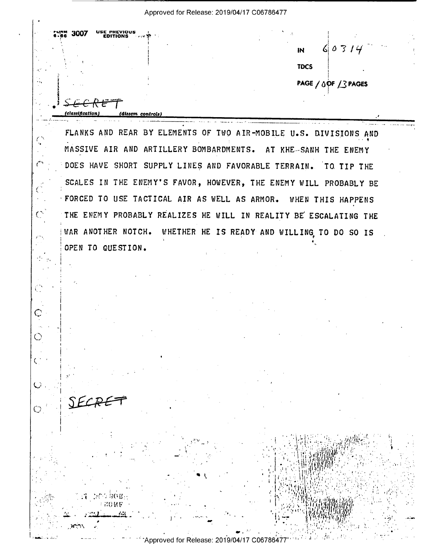**SE PREVIOUS**<br>EDITIONS 3007  $60314$ **IN TDCS** PAGE / OPF / 3 PAGES dissem controls)

FLANKS AND REAR BY ELEMENTS OF TWO AIR-MOBILE U.S. DIVISIONS AND MASSIVE AIR AND ARTILLERY BOMBARDMENTS. AT KHE SANH THE ENEMY DOES HAVE SHORT SUPPLY LINES AND FAVORABLE TERRAIN. TO TIP THE SCALES IN THE ENEMY'S FAVOR, HOWEVER, THE ENEMY WILL PROBABLY BE FORCED TO USE TACTICAL AIR AS WELL AS ARMOR. **WHEN THIS HAPPENS** THE ENEMY PROBABLY REALIZES HE WILL IN REALITY BE ESCALATING THE WAR ANOTHER NOTCH. WHETHER HE IS READY AND WILLING TO DO SO IS OPEN TO QUESTION.

دمني

 $\mathcal{C}$ 

 $\mathcal{S}_\alpha$ 

 $_{\mathbb{C}}$ 

 $\bigcirc$ 

 $\mathcal{C}^{\mathbb{Z}}$ 

 $\mathbf{C}$ .

 $\bigodot^{-1}$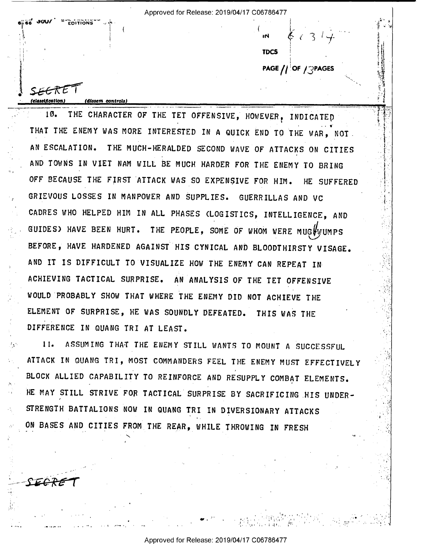**EDITIONS** 

SEERE

**TDCS PAGE // OF / PAGES** 

THE CHARACTER OF THE TET OFFENSIVE, HOWEVER, INDICATED  $10 -$ THAT THE ENEMY WAS MORE INTERESTED IN A QUICK END TO THE WAR, NOT. THE MUCH-HERALDED SECOND WAVE OF ATTACKS ON CITIES AN ESCALATION. AND TOWNS IN VIET NAM WILL BE MUCH HARDER FOR THE ENEMY TO BRING OFF BECAUSE THE FIRST ATTACK WAS SO EXPENSIVE FOR HIM. HE SUFFERED GRIEVOUS LOSSES IN MANPOWER AND SUPPLIES. GUERRILLAS AND VC CADRES WHO HELPED HIM IN ALL PHASES (LOGISTICS, INTELLIGENCE, AND GUIDES) HAVE BEEN HURT. THE PEOPLE, SOME OF WHOM WERE MUGHWUMPS BEFORE, HAVE HARDENED AGAINST HIS CYNICAL AND BLOODTHIRSTY VISAGE. AND IT IS DIFFICULT TO VISUALIZE HOW THE ENEMY CAN REPEAT IN ACHIEVING TACTICAL SURPRISE. AN ANALYSIS OF THE TET OFFENSIVE WOULD PROBABLY SHOW THAT WHERE THE ENEMY DID NOT ACHIEVE THE ELEMENT OF SURPRISE, HE WAS SOUNDLY DEFEATED. THIS WAS THE DIFFERENCE IN QUANG TRI AT LEAST.

ASSUMING THAT THE ENEMY STILL WANTS TO MOUNT A SUCCESSFUL  $11.$ ATTACK IN QUANG TRI, MOST COMMANDERS FEEL THE ENEMY MUST EFFECTIVELY BLOCK ALLIED CAPABILITY TO REINFORCE AND RESUPPLY COMBAT ELEMENTS. HE MAY STILL STRIVE FOR TACTICAL SURPRISE BY SACRIFICING HIS UNDER-STRENGTH BATTALIONS NOW IN QUANG TRI IN DIVERSIONARY ATTACKS ON BASES AND CITIES FROM THE REAR, WHILE THROWING IN FRESH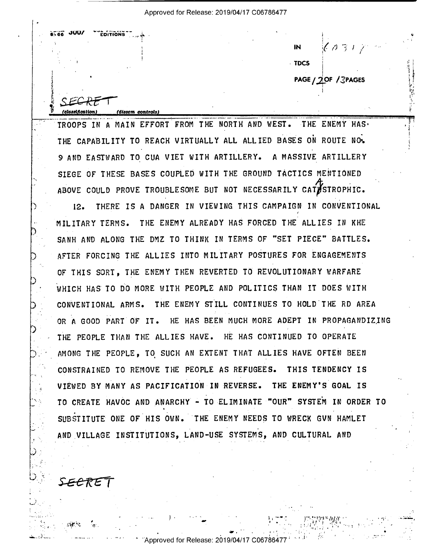$6.66$  JUU/ **ENITIONS**  $\left\langle \sqrt{31} \right\rangle$ IN. **TDCS** PAGE / 2OF / 3PAGES

TROOPS IN A MAIN EFFORT FROM THE NORTH AND WEST. THE ENEMY HAS. THE CAPABILITY TO REACH VIRTUALLY ALL ALLIED BASES ON ROUTE NO. 9 AND EASTWARD TO CUA VIET WITH ARTILLERY. A MASSIVE ARTILLERY STEGE OF THESE BASES COUPLED WITH THE GROUND TACTICS MENTIONED ABOVE COULD PROVE TROUBLESOME BUT NOT NECESSARILY CATASTROPHIC.

(dissem controls)

THERE IS A DANGER IN VIEWING THIS CAMPAIGN IN CONVENTIONAL  $12.$ MILITARY TERMS. THE ENEMY ALREADY HAS FORCED THE ALLIES IN KHE SANH AND ALONG THE DMZ TO THINK IN TERMS OF "SET PIECE" BATTLES. AFTER FORCING THE ALLIES INTO MILITARY POSTURES FOR ENGAGEMENTS OF THIS SORT. THE ENEMY THEN REVERTED TO REVOLUTIONARY WARFARE WHICH HAS TO DO MORE WITH PEOPLE AND POLITICS THAN IT DOES WITH CONVENTIONAL ARMS. THE ENEMY STILL CONTINUES TO HOLD THE RD AREA OR A GOOD PART OF IT. HE HAS BEEN MUCH MORE ADEPT IN PROPAGANDIZING THE PEOPLE THAN THE ALLIES HAVE. HE HAS CONTINUED TO OPERATE AMONG THE PEOPLE. TO SUCH AN EXTENT THAT ALLIES HAVE OFTEN BEEN CONSTRAINED TO REMOVE THE PEOPLE AS REFUGEES. THIS TENDENCY IS VIEWED BY MANY AS PACIFICATION IN REVERSE. THE ENEMY'S GOAL IS TO CREATE HAVOC AND ANARCHY - TO ELIMINATE "OUR" SYSTEM IN ORDER TO SUBSTITUTE ONE OF HIS OWN. THE ENEMY NEEDS TO WRECK GVN HAMLET AND VILLAGE INSTITUTIONS, LAND-USE SYSTEMS, AND CULTURAL AND

SECRET

Approved for Release: 2019/04/17 C067864